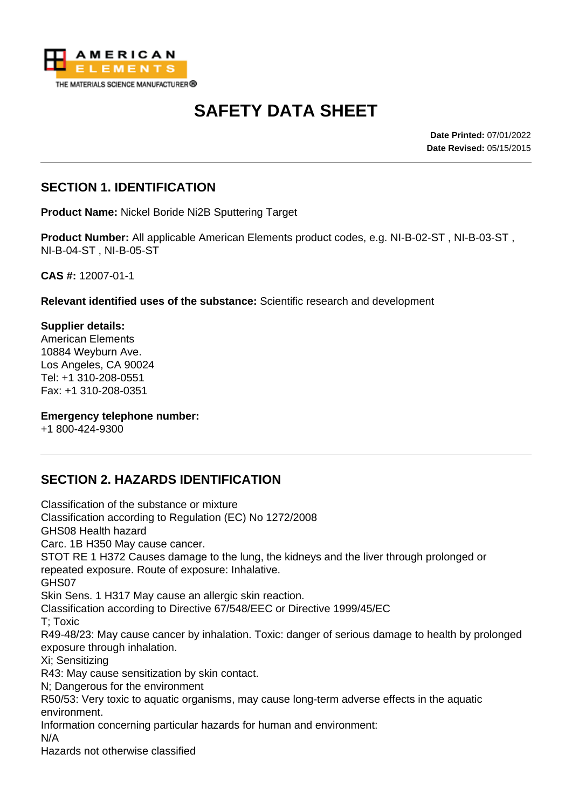

# **SAFETY DATA SHEET**

**Date Printed:** 07/01/2022 **Date Revised:** 05/15/2015

### **SECTION 1. IDENTIFICATION**

**Product Name:** Nickel Boride Ni2B Sputtering Target

**Product Number:** All applicable American Elements product codes, e.g. NI-B-02-ST , NI-B-03-ST , NI-B-04-ST , NI-B-05-ST

**CAS #:** 12007-01-1

**Relevant identified uses of the substance:** Scientific research and development

**Supplier details:** American Elements 10884 Weyburn Ave. Los Angeles, CA 90024 Tel: +1 310-208-0551 Fax: +1 310-208-0351

**Emergency telephone number:**

+1 800-424-9300

### **SECTION 2. HAZARDS IDENTIFICATION**

Classification of the substance or mixture Classification according to Regulation (EC) No 1272/2008 GHS08 Health hazard Carc. 1B H350 May cause cancer. STOT RE 1 H372 Causes damage to the lung, the kidneys and the liver through prolonged or repeated exposure. Route of exposure: Inhalative. GHS07 Skin Sens. 1 H317 May cause an allergic skin reaction. Classification according to Directive 67/548/EEC or Directive 1999/45/EC T; Toxic R49-48/23: May cause cancer by inhalation. Toxic: danger of serious damage to health by prolonged exposure through inhalation. Xi; Sensitizing R43: May cause sensitization by skin contact. N; Dangerous for the environment R50/53: Very toxic to aquatic organisms, may cause long-term adverse effects in the aquatic environment. Information concerning particular hazards for human and environment: N/A Hazards not otherwise classified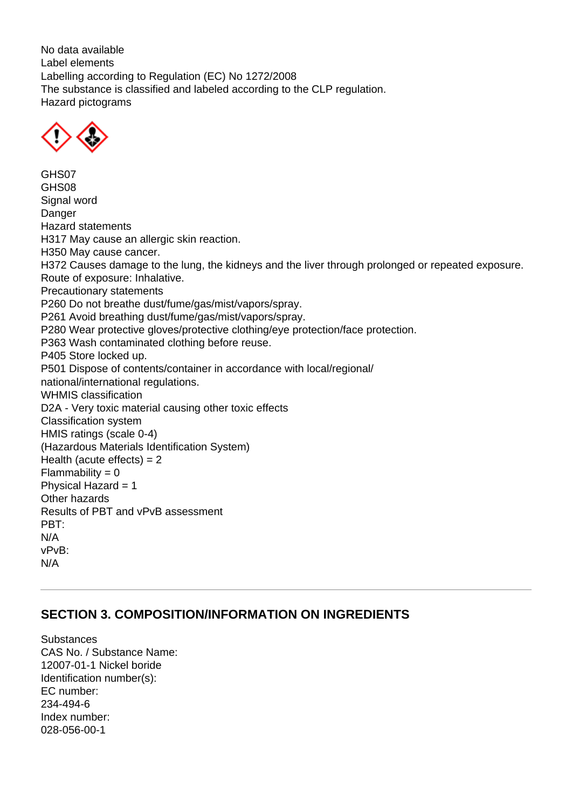No data available Label elements Labelling according to Regulation (EC) No 1272/2008 The substance is classified and labeled according to the CLP regulation. Hazard pictograms



GHS07 GHS08 Signal word **Danger** Hazard statements H317 May cause an allergic skin reaction. H350 May cause cancer. H372 Causes damage to the lung, the kidneys and the liver through prolonged or repeated exposure. Route of exposure: Inhalative. Precautionary statements P260 Do not breathe dust/fume/gas/mist/vapors/spray. P261 Avoid breathing dust/fume/gas/mist/vapors/spray. P280 Wear protective gloves/protective clothing/eye protection/face protection. P363 Wash contaminated clothing before reuse. P405 Store locked up. P501 Dispose of contents/container in accordance with local/regional/ national/international regulations. WHMIS classification D2A - Very toxic material causing other toxic effects Classification system HMIS ratings (scale 0-4) (Hazardous Materials Identification System) Health (acute effects)  $= 2$  $Flammability = 0$ Physical Hazard = 1 Other hazards Results of PBT and vPvB assessment PBT: N/A vPvB: N/A

### **SECTION 3. COMPOSITION/INFORMATION ON INGREDIENTS**

**Substances** CAS No. / Substance Name: 12007-01-1 Nickel boride Identification number(s): EC number: 234-494-6 Index number: 028-056-00-1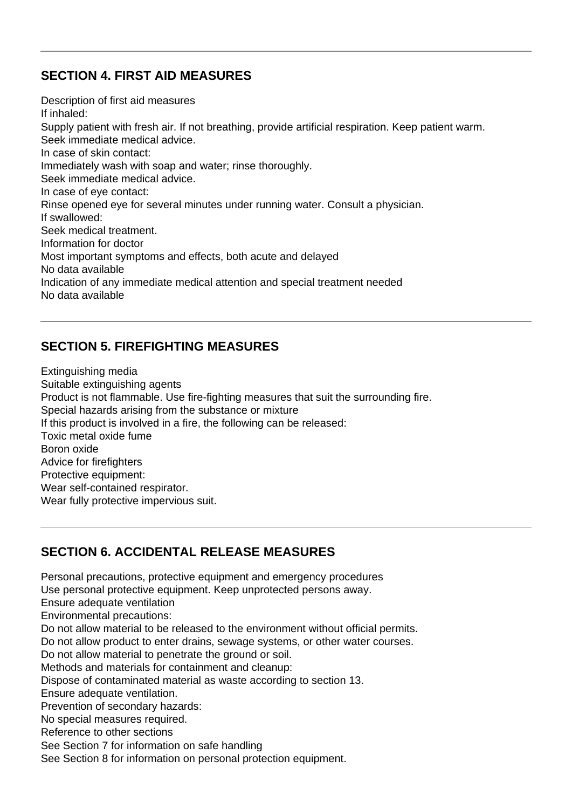### **SECTION 4. FIRST AID MEASURES**

Description of first aid measures If inhaled: Supply patient with fresh air. If not breathing, provide artificial respiration. Keep patient warm. Seek immediate medical advice. In case of skin contact: Immediately wash with soap and water; rinse thoroughly. Seek immediate medical advice. In case of eye contact: Rinse opened eye for several minutes under running water. Consult a physician. If swallowed: Seek medical treatment. Information for doctor Most important symptoms and effects, both acute and delayed No data available Indication of any immediate medical attention and special treatment needed No data available

### **SECTION 5. FIREFIGHTING MEASURES**

Extinguishing media Suitable extinguishing agents Product is not flammable. Use fire-fighting measures that suit the surrounding fire. Special hazards arising from the substance or mixture If this product is involved in a fire, the following can be released: Toxic metal oxide fume Boron oxide Advice for firefighters Protective equipment: Wear self-contained respirator. Wear fully protective impervious suit.

# **SECTION 6. ACCIDENTAL RELEASE MEASURES**

Personal precautions, protective equipment and emergency procedures Use personal protective equipment. Keep unprotected persons away. Ensure adequate ventilation Environmental precautions: Do not allow material to be released to the environment without official permits. Do not allow product to enter drains, sewage systems, or other water courses. Do not allow material to penetrate the ground or soil. Methods and materials for containment and cleanup: Dispose of contaminated material as waste according to section 13. Ensure adequate ventilation. Prevention of secondary hazards: No special measures required. Reference to other sections See Section 7 for information on safe handling See Section 8 for information on personal protection equipment.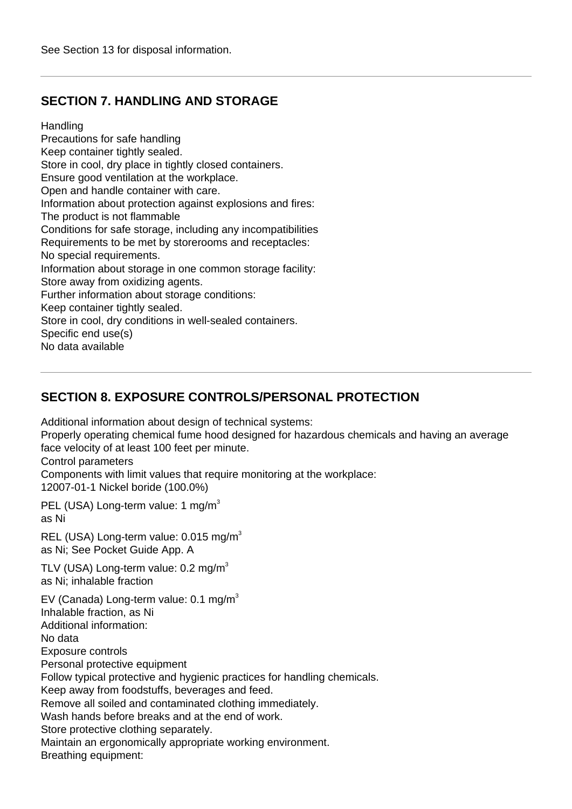### **SECTION 7. HANDLING AND STORAGE**

Handling

Precautions for safe handling Keep container tightly sealed. Store in cool, dry place in tightly closed containers. Ensure good ventilation at the workplace. Open and handle container with care. Information about protection against explosions and fires: The product is not flammable Conditions for safe storage, including any incompatibilities Requirements to be met by storerooms and receptacles: No special requirements. Information about storage in one common storage facility: Store away from oxidizing agents. Further information about storage conditions: Keep container tightly sealed. Store in cool, dry conditions in well-sealed containers. Specific end use(s) No data available

### **SECTION 8. EXPOSURE CONTROLS/PERSONAL PROTECTION**

Additional information about design of technical systems:

Properly operating chemical fume hood designed for hazardous chemicals and having an average face velocity of at least 100 feet per minute.

Control parameters

Components with limit values that require monitoring at the workplace: 12007-01-1 Nickel boride (100.0%)

PEL (USA) Long-term value: 1 mg/m<sup>3</sup> as Ni

REL (USA) Long-term value: 0.015 mg/m<sup>3</sup> as Ni; See Pocket Guide App. A

TLV (USA) Long-term value:  $0.2 \text{ mg/m}^3$ as Ni; inhalable fraction

EV (Canada) Long-term value:  $0.1 \text{ mg/m}^3$ Inhalable fraction, as Ni Additional information: No data Exposure controls Personal protective equipment Follow typical protective and hygienic practices for handling chemicals. Keep away from foodstuffs, beverages and feed. Remove all soiled and contaminated clothing immediately. Wash hands before breaks and at the end of work. Store protective clothing separately. Maintain an ergonomically appropriate working environment. Breathing equipment: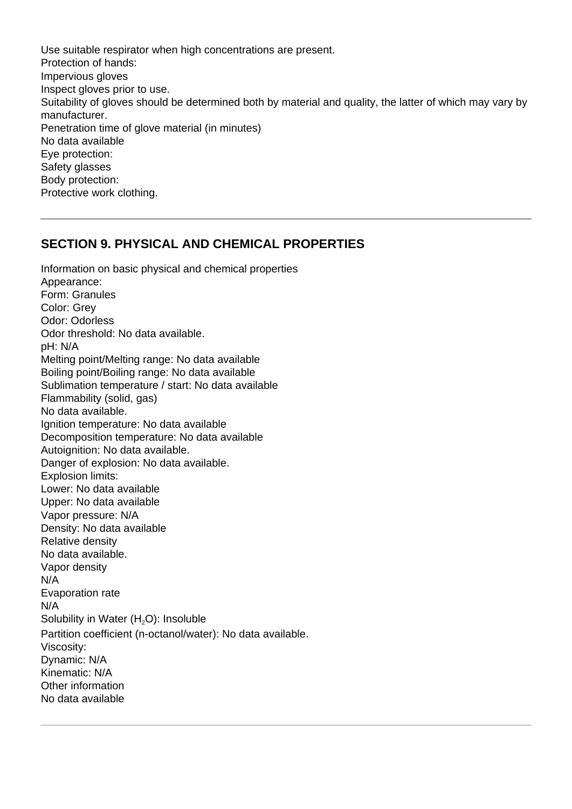Use suitable respirator when high concentrations are present. Protection of hands: Impervious gloves Inspect gloves prior to use. Suitability of gloves should be determined both by material and quality, the latter of which may vary by manufacturer. Penetration time of glove material (in minutes) No data available Eye protection: Safety glasses Body protection: Protective work clothing.

#### **SECTION 9. PHYSICAL AND CHEMICAL PROPERTIES**

Information on basic physical and chemical properties Appearance: Form: Granules Color: Grey Odor: Odorless Odor threshold: No data available. pH: N/A Melting point/Melting range: No data available Boiling point/Boiling range: No data available Sublimation temperature / start: No data available Flammability (solid, gas) No data available. Ignition temperature: No data available Decomposition temperature: No data available Autoignition: No data available. Danger of explosion: No data available. Explosion limits: Lower: No data available Upper: No data available Vapor pressure: N/A Density: No data available Relative density No data available. Vapor density N/A Evaporation rate N/A Solubility in Water  $(H<sub>2</sub>O)$ : Insoluble Partition coefficient (n-octanol/water): No data available. Viscosity: Dynamic: N/A Kinematic: N/A Other information No data available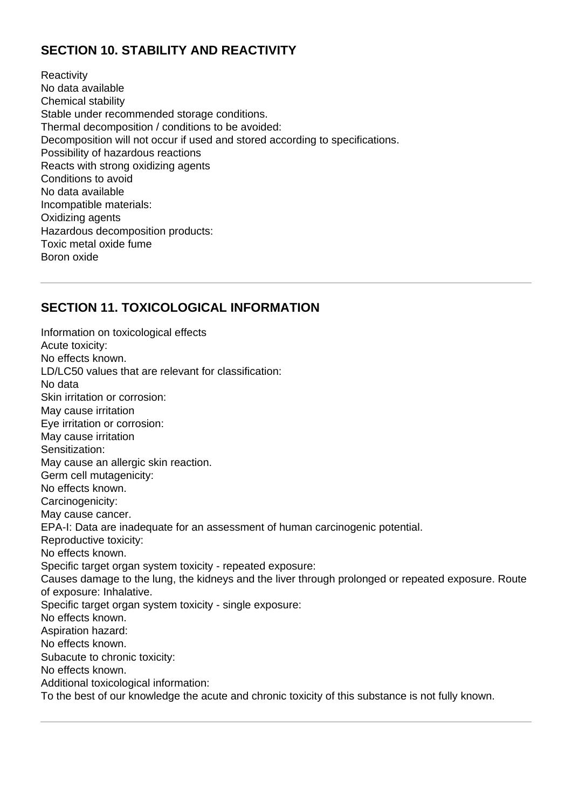### **SECTION 10. STABILITY AND REACTIVITY**

**Reactivity** No data available Chemical stability Stable under recommended storage conditions. Thermal decomposition / conditions to be avoided: Decomposition will not occur if used and stored according to specifications. Possibility of hazardous reactions Reacts with strong oxidizing agents Conditions to avoid No data available Incompatible materials: Oxidizing agents Hazardous decomposition products: Toxic metal oxide fume Boron oxide

### **SECTION 11. TOXICOLOGICAL INFORMATION**

Information on toxicological effects Acute toxicity: No effects known. LD/LC50 values that are relevant for classification: No data Skin irritation or corrosion: May cause irritation Eye irritation or corrosion: May cause irritation Sensitization: May cause an allergic skin reaction. Germ cell mutagenicity: No effects known. Carcinogenicity: May cause cancer. EPA-I: Data are inadequate for an assessment of human carcinogenic potential. Reproductive toxicity: No effects known. Specific target organ system toxicity - repeated exposure: Causes damage to the lung, the kidneys and the liver through prolonged or repeated exposure. Route of exposure: Inhalative. Specific target organ system toxicity - single exposure: No effects known. Aspiration hazard: No effects known. Subacute to chronic toxicity: No effects known. Additional toxicological information: To the best of our knowledge the acute and chronic toxicity of this substance is not fully known.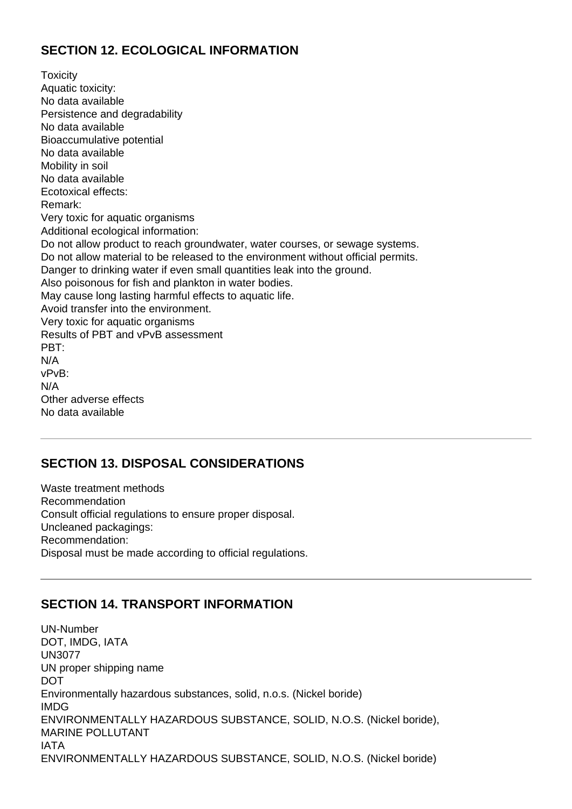### **SECTION 12. ECOLOGICAL INFORMATION**

**Toxicity** Aquatic toxicity: No data available Persistence and degradability No data available Bioaccumulative potential No data available Mobility in soil No data available Ecotoxical effects: Remark: Very toxic for aquatic organisms Additional ecological information: Do not allow product to reach groundwater, water courses, or sewage systems. Do not allow material to be released to the environment without official permits. Danger to drinking water if even small quantities leak into the ground. Also poisonous for fish and plankton in water bodies. May cause long lasting harmful effects to aquatic life. Avoid transfer into the environment. Very toxic for aquatic organisms Results of PBT and vPvB assessment PBT: N/A vPvB: N/A Other adverse effects No data available

### **SECTION 13. DISPOSAL CONSIDERATIONS**

Waste treatment methods Recommendation Consult official regulations to ensure proper disposal. Uncleaned packagings: Recommendation: Disposal must be made according to official regulations.

### **SECTION 14. TRANSPORT INFORMATION**

UN-Number DOT, IMDG, IATA UN3077 UN proper shipping name **DOT** Environmentally hazardous substances, solid, n.o.s. (Nickel boride) IMDG ENVIRONMENTALLY HAZARDOUS SUBSTANCE, SOLID, N.O.S. (Nickel boride), MARINE POLLUTANT IATA ENVIRONMENTALLY HAZARDOUS SUBSTANCE, SOLID, N.O.S. (Nickel boride)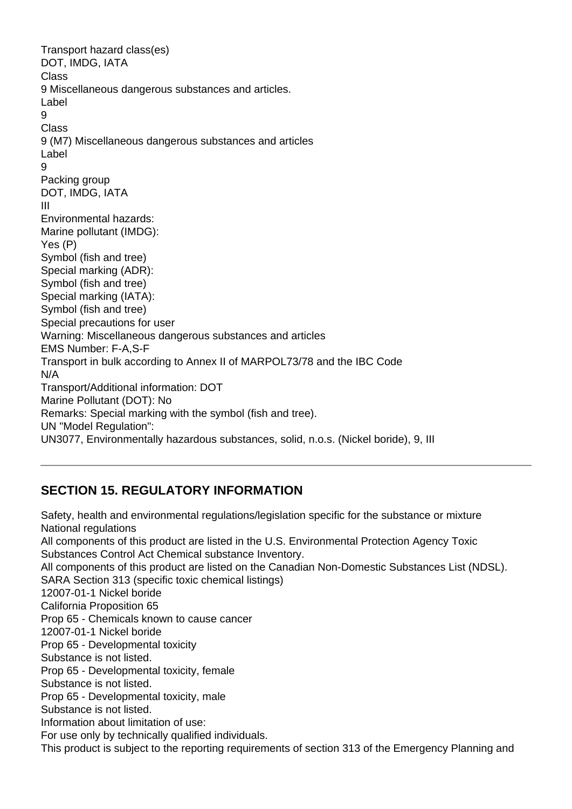Transport hazard class(es) DOT, IMDG, IATA Class 9 Miscellaneous dangerous substances and articles. Label 9 Class 9 (M7) Miscellaneous dangerous substances and articles Label 9 Packing group DOT, IMDG, IATA III Environmental hazards: Marine pollutant (IMDG): Yes (P) Symbol (fish and tree) Special marking (ADR): Symbol (fish and tree) Special marking (IATA): Symbol (fish and tree) Special precautions for user Warning: Miscellaneous dangerous substances and articles EMS Number: F-A,S-F Transport in bulk according to Annex II of MARPOL73/78 and the IBC Code N/A Transport/Additional information: DOT Marine Pollutant (DOT): No Remarks: Special marking with the symbol (fish and tree). UN "Model Regulation": UN3077, Environmentally hazardous substances, solid, n.o.s. (Nickel boride), 9, III

# **SECTION 15. REGULATORY INFORMATION**

Safety, health and environmental regulations/legislation specific for the substance or mixture National regulations All components of this product are listed in the U.S. Environmental Protection Agency Toxic Substances Control Act Chemical substance Inventory. All components of this product are listed on the Canadian Non-Domestic Substances List (NDSL). SARA Section 313 (specific toxic chemical listings) 12007-01-1 Nickel boride California Proposition 65 Prop 65 - Chemicals known to cause cancer 12007-01-1 Nickel boride Prop 65 - Developmental toxicity Substance is not listed. Prop 65 - Developmental toxicity, female Substance is not listed. Prop 65 - Developmental toxicity, male Substance is not listed. Information about limitation of use: For use only by technically qualified individuals. This product is subject to the reporting requirements of section 313 of the Emergency Planning and